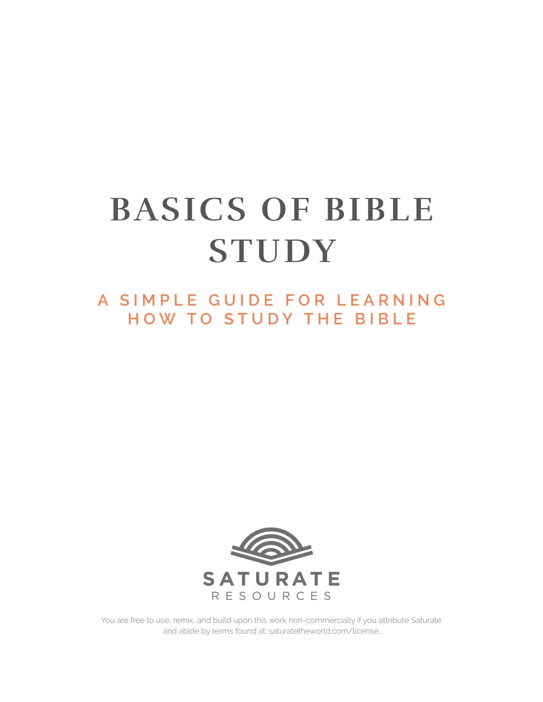# **BASICS OF BIBLE STUDY**

**A SIMPLE GUIDE FOR LEARNING HOW TO STUDY THE BIBLE**



You are free to use, remix, and build upon this work non-commercially if you attribute Saturate and abide by terms found at: saturatetheworld.com/license.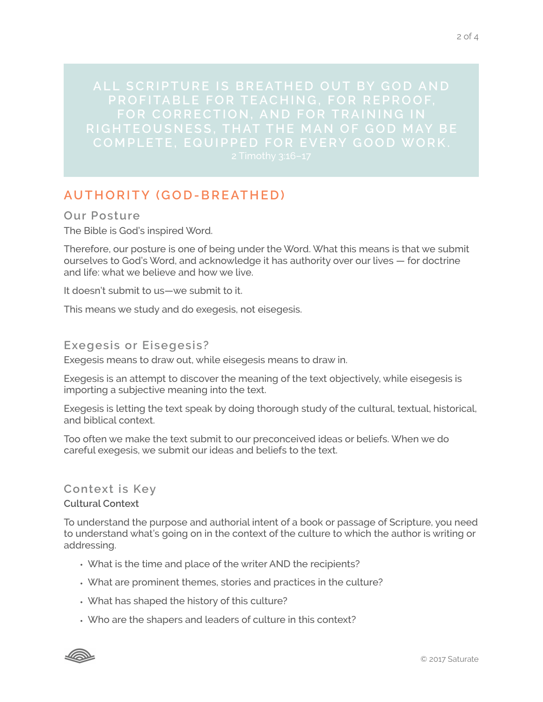**ALL SCRIPTURE IS BREATHED OUT BY GOD AND RIGHTEOUSNESS, THAT THE MAN OF GOD MAY BE** 

# **AUTHORITY (GOD-BREATHED)**

**Our Posture** The Bible is God's inspired Word.

Therefore, our posture is one of being under the Word. What this means is that we submit ourselves to God's Word, and acknowledge it has authority over our lives — for doctrine and life: what we believe and how we live.

It doesn't submit to us—we submit to it.

This means we study and do exegesis, not eisegesis.

# **Exegesis or Eisegesis?**

Exegesis means to draw out, while eisegesis means to draw in.

Exegesis is an attempt to discover the meaning of the text objectively, while eisegesis is importing a subjective meaning into the text.

Exegesis is letting the text speak by doing thorough study of the cultural, textual, historical, and biblical context.

Too often we make the text submit to our preconceived ideas or beliefs. When we do careful exegesis, we submit our ideas and beliefs to the text.

# **Context is Key**

#### **Cultural Context**

To understand the purpose and authorial intent of a book or passage of Scripture, you need to understand what's going on in the context of the culture to which the author is writing or addressing.

- What is the time and place of the writer AND the recipients?
- What are prominent themes, stories and practices in the culture?
- What has shaped the history of this culture?
- Who are the shapers and leaders of culture in this context?

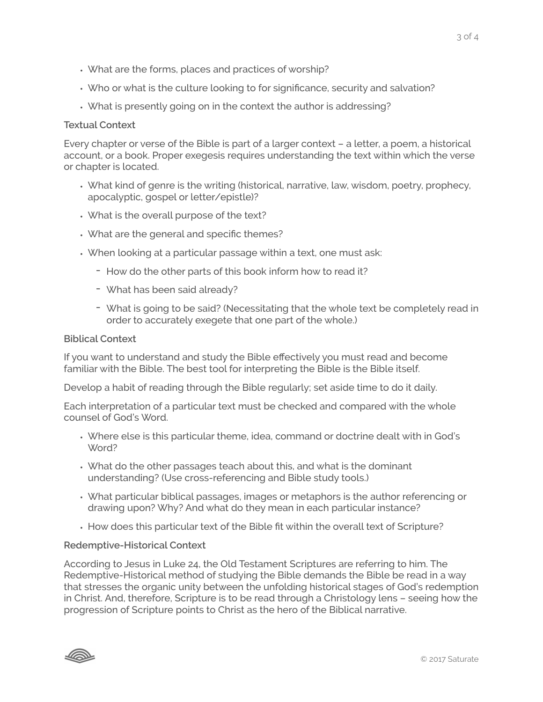- What are the forms, places and practices of worship?
- Who or what is the culture looking to for significance, security and salvation?
- What is presently going on in the context the author is addressing?

#### **Textual Context**

Every chapter or verse of the Bible is part of a larger context – a letter, a poem, a historical account, or a book. Proper exegesis requires understanding the text within which the verse or chapter is located.

- What kind of genre is the writing (historical, narrative, law, wisdom, poetry, prophecy, apocalyptic, gospel or letter/epistle)?
- What is the overall purpose of the text?
- What are the general and specific themes?
- When looking at a particular passage within a text, one must ask:
	- How do the other parts of this book inform how to read it?
	- What has been said already?
	- What is going to be said? (Necessitating that the whole text be completely read in order to accurately exegete that one part of the whole.)

#### **Biblical Context**

If you want to understand and study the Bible effectively you must read and become familiar with the Bible. The best tool for interpreting the Bible is the Bible itself.

Develop a habit of reading through the Bible regularly; set aside time to do it daily.

Each interpretation of a particular text must be checked and compared with the whole counsel of God's Word.

- Where else is this particular theme, idea, command or doctrine dealt with in God's Word?
- What do the other passages teach about this, and what is the dominant understanding? (Use cross-referencing and Bible study tools.)
- What particular biblical passages, images or metaphors is the author referencing or drawing upon? Why? And what do they mean in each particular instance?
- How does this particular text of the Bible fit within the overall text of Scripture?

#### **Redemptive-Historical Context**

According to Jesus in Luke 24, the Old Testament Scriptures are referring to him. The Redemptive-Historical method of studying the Bible demands the Bible be read in a way that stresses the organic unity between the unfolding historical stages of God's redemption in Christ. And, therefore, Scripture is to be read through a Christology lens – seeing how the progression of Scripture points to Christ as the hero of the Biblical narrative.